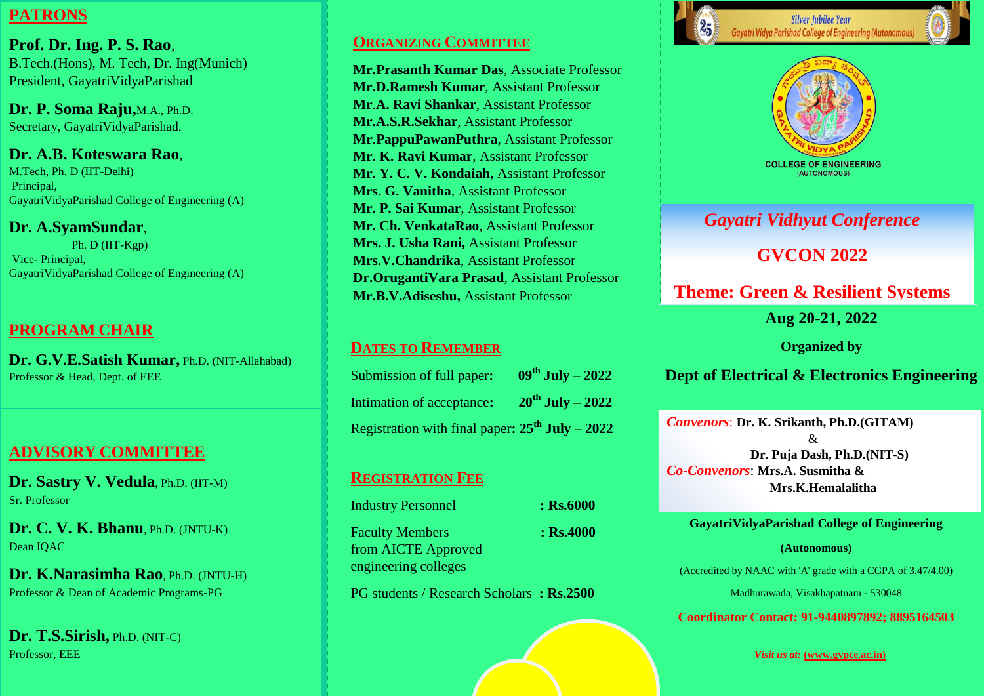## **PATRONS**

**Prof. Dr. Ing. P. S. Rao**, B.Tech.(Hons), M. Tech, Dr. Ing(Munich) President, GayatriVidyaParishad

**Dr. P. Soma Raju,**M.A., Ph.D. Secretary, GayatriVidyaParishad.

**Dr. A.B. Koteswara Rao**, M.Tech, Ph. D (IIT-Delhi) Principal, GayatriVidyaParishad College of Engineering (A)

### **Dr. A.SyamSundar**,

 Ph. D (IIT-Kgp) Vice- Principal, GayatriVidyaParishad College of Engineering (A)

## **PROGRAM CHAIR**

**Dr. G.V.E.Satish Kumar,** Ph.D. (NIT-Allahabad) Professor & Head, Dept. of EEE

# **ADVISORY COMMITTEE**

**Dr. Sastry V. Vedula**, Ph.D. (IIT-M) Sr. Professor

**Dr. C. V. K. Bhanu**, Ph.D. (JNTU-K) Dean IQAC

**Dr. K.Narasimha Rao**, Ph.D. (JNTU-H) Professor & Dean of Academic Programs-PG

**Dr. T.S.Sirish,** Ph.D. (NIT-C) Professor, EEE

### **ORGANIZING COMMITTEE**

**Mr.Prasanth Kumar Das**, Associate Professor **Mr.D.Ramesh Kumar**, Assistant Professor **Mr**.**A. Ravi Shankar**, Assistant Professor **Mr.A.S.R.Sekhar**, Assistant Professor **Mr**.**PappuPawanPuthra**, Assistant Professor **Mr. K. Ravi Kumar**, Assistant Professor **Mr. Y. C. V. Kondaiah**, Assistant Professor **Mrs. G. Vanitha**, Assistant Professor **Mr. P. Sai Kumar**, Assistant Professor **Mr. Ch. VenkataRao**, Assistant Professor **Mrs. J. Usha Rani,** Assistant Professor **Mrs.V.Chandrika**, Assistant Professor **Dr.OrugantiVara Prasad**, Assistant Professor **Mr.B.V.Adiseshu,** Assistant Professor

### **DATES TO REMEMBER**

| Submission of full paper:                              | $09^{\text{th}}$ July - 2022 |
|--------------------------------------------------------|------------------------------|
| Intimation of acceptance:                              | $20^{th}$ July - 2022        |
| Registration with final paper: $25^{th}$ July - $2022$ |                              |

### **REGISTRATION FEE**

Industry Personnel **: Rs.6000** Faculty Members **: Rs.4000** from AICTE Approved engineering colleges

PG students / Research Scholars **: Rs.2500**



**Gayatri Vidya Parishad College of Engineering (Autonomous** 



(AUTONOMOUS)

# *Gayatri Vidhyut Conference*

**GVCON 2022**

**Theme: Green & Resilient Systems**

**Aug 20-21, 2022**

**Organized by**

## **Dept of Electrical & Electronics Engineering**

*Convenors*: **Dr. K. Srikanth, Ph.D.(GITAM)** & **Dr. Puja Dash, Ph.D.(NIT-S)** *Co-Convenors*: **Mrs.A. Susmitha & Mrs.K.Hemalalitha**

**GayatriVidyaParishad College of Engineering** 

#### **(Autonomous)**

(Accredited by NAAC with 'A' grade with a CGPA of 3.47/4.00)

Madhurawada, Visakhapatnam - 530048

**Coordinator Contact: 91-9440897892; 8895164503**

*Visit us at:* **(www.gvpce.ac.in)**